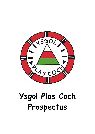

# **Ysgol Plas Coch Prospectus**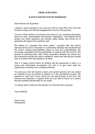# **YSGOL PLAS COCH**

# **A word of welcome from the Headteacher**

Dear Parents and Guardians

I extend a warm welcome to you and your child to Ysgol Plas Coch and look forward to happy and efficient engagements over the coming years.

The aim of this booklet is to introduce the school to you, providing information about our aims, administration and general organization. The booklet should answer any direct questions and provide useful details that should be of assistance throughout the academic year.

We believe it's important that every parent / guardian feel that they're welcome at the school. Education is a partnership between the household and the school, sharing responsibilities based on trust and understanding. We encourage cooperation and the participation of parents with the school in the process of educating their child. Good cooperation between the school and the household promote the child's confidence, assist their learning and assists them to achieve their full potential in all fields.

This is a happy school where all children get the opportunity to learn in a caring and comfortable atmosphere. Our aim is to give each child the opportunity to develop into a rounded individual.

You and your child will receive a warm and current welcome and we extend an invitation to you as parents to support us in the educational process. We operate an "open door" policy which you can step through at any time. We welcome any expertise or support which you can offer to assist us to extend the best possible opportunities for our pupils.

I'm always open to discuss with parents at a time that suits everyone.

Yours faithfully,

Osian Jones **Headteacher**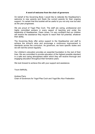# **A word of welcome from the chair of governors**

On behalf of the Governing Body I would like to reiterate the Headteacher's welcome to new parents and thank the current parents for their ongoing support. I'm certain that this booklet will be useful to you not only now but also as the year progresses.

We are proud of Ysgol Plas Coch. The staff are caring, professional and highly committed workers in every aspect of teaching and under the leadership of Headteacher, Osian Jones, I'm very confident that our children will receive the assistance they require to reach their full potential, whatever their ability.

The Governing Body offer active support to the Headteacher and staff to achieve the school's aims and encourage a continuous improvement in standards across the curriculum. As governors, we have specific duties and we will visit the school regularly.

Our children's education provides an essential foundation to the rest of their lives. We are committed to provide education of the highest possible standard in a safe and caring atmosphere within which they will receive thorough and engaging education throughout their formative years.

We look forward to achieve this with your support and assistance.

Yours faithfully,

Andrew Parry Chair of Governors for Ysgol Plas Coch and Ysgol Bro Alun Federation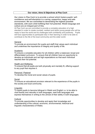# **Our vision, Aims & Objectives at Plas Coch**

**Our vision in Plas Coch is to provide a school which fosters pupils' selfconfidence and self-discipline in a caring, supportive, happy and safe environment. We are committed to demanding the highest possible standards, with each child fulfilling their full potential. Welsh language and culture are an integral part of this.**

At Plas Coch we are committed to provide a complete education of a high standard in order to create rounded, resilient and skilful young people who will be ready to face the world and its challenges both confidently and positively. Pupils will have opportunities to participate fully in their learning in order to be able to contribute to the life of the local community and the wider world.

#### **General**

To provide an environment (for pupils and staff) that values each individual and underlines the importance of integrity and quality of life.

#### Academic

To ensure a complete education for all children within a balanced, broad and differentiated curriculum. To ensure that all children have an opportunity to develop as individuals and set high expectations so that each individual reaches their full potential.

#### Health and Wellbeing

To ensure that all pupils are both physically and mentally fit, offering support to any pupil that requires it.

#### Personal / Pastoral

To develop the moral and social values of pupils.

#### Social

To ensure an educational provision relevant to the experience of the pupils in the society and local community.

#### **Linguistic**

To assist pupils to become bilingual in Welsh and English i.e. to be able to chat fluently and naturally in both languages, read both languages and express themselves in writing to the utmost of their ability in both languages.

### **Cultural**

To provide opportunities to develop and apply their knowledge and understanding of the cultural, economic, environmental, historical and linguistic characteristics of Wales.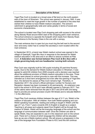# **Description of the School**

Ysgol Plas Coch is located on a broad area of flat land on the north-eastern side of the town of Wrexham. The school was opened in January 1993. It was established to meet the huge growth in the number of parents in the area that wished their children to have Welsh-medium education. The school's catchment is geographically wide and varies greatly in terms of social and economic characteristics.

The school is located near Plas Coch shopping park with access to the school along Stansty Road around 500m east of the shopping park's main entrance. The school entrance is opposite the footpath which leads from Stansty Road. The entrance to the Nursery Class is the one with a canopy.

The main entrance door is open but you must ring the bell next to the second door and every visitor has to contact the secretary's room located within the main entrance.

In September 2013, a brand new Welsh medium school was opened in the village of Gwersyllt, Ysgol Bro Alun in response to the demand for Welsh medium education in the area and in an effort to reduce numbers at Plas Coch. **A federation was formed between Plas Coch & Bro Alun with a single governing body and one headteacher running both schools.**

Plas Coch was originally built for 240 pupils including 30 part-time Nursery pupils. Due to the demand for Welsh-medium education in Wrexham, it was agreed to admit 60 children from 2008 onwards until a decision was reached about the additional provision of Welsh-medium education in the area. Three cabins were placed on school grounds to cope with this increase. This was intended as a short term arrangement but even after the opening of Ysgol Bro Alun, the demand for places at Plas Coch remains high. Therefore, in September 2017, the school's official admission number for Nursery and Reception classes has been increased to 45 permanently. An extension was built to the school in 2016 and it was officially opened in February 2017. Two of the cabins were removed from the site in 2017 and 2018 with one being kept to provide pre-school provision (Cylch Hill Street) and to relocate Meithrin + in the afternoons.

Ysgol Plas Coch receives children between the age of 3-11 yrs. Welsh is the medium of education. With all children, from both Welsh-speaking and non-Welsh speaking households, reading and writing is taught in Welsh until the age of 7 yrs. From 7 years onwards (KS 2) English is taught as a subject. Teaching in all areas and subjects (apart from English) will be through the medium of Welsh. Welsh will be the everyday language of the school and the language of communication between staff. Once the children are able to speak Welsh, they are expected to use it in the classroom and on the school yard. There isn't a choice of which language the children will be educated here as we are a Welsh-medium school. We will ensure a progression in the use of the language from Foundation Phase to KS 2 and this will continue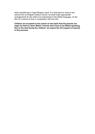when transferring to Ysgol Morgan Llwyd. If a child were to come to the school from an English-medium school, we shall make appropriate arrangements for the child to be submersed in the Welsh language, on the site, for a period of time in cooperation with the LEA.

**Children are accepted to the school on the basis that the parents are eager for them to learn Welsh. Parents don't have to be Welsh-speaking. Due to the task facing the children, we expect the full support of parents in this process.**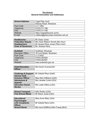## **The School General Information and Addresses**

| <b>School Address</b> | <b>Ysgol Plas Coch</b>             |  |
|-----------------------|------------------------------------|--|
|                       | <b>Stansty Road, Wrexham</b>       |  |
| Post Code             | <b>LL11 2BU</b>                    |  |
| Telephone             | 01978 311198                       |  |
| FAX                   | 01978 311198                       |  |
| Website               | https://ysgolplascoch.cymru        |  |
| E-mail                | mailbox@plascochpri.wrexham.sch.uk |  |

| <b>Headteacher</b>        | Mr Osian Jones                    |
|---------------------------|-----------------------------------|
| <b>Federation Deputy</b>  | Mrs Awel Watson-Smyth (Bro Alun)  |
| <b>Headteachers</b>       | Mr Geraint Rhys Jones (Plas Coch) |
| <b>Chair of Governors</b> | Mr. Andrew Parry                  |

| <b>Guildhall</b>        | Guildhall, Wrexham      |  |
|-------------------------|-------------------------|--|
| <b>Education Office</b> | 16 Lord Street, Wrexham |  |
| Post Code               | <b>LL13 8AZ</b>         |  |
| Telephone:              | 01978 297505            |  |
| <b>FAX</b>              | 01978 297501            |  |
| Website                 | www.wrexham.gov.uk      |  |

| <b>Chief Education</b> | Mrs Karen Evans(LEA) |
|------------------------|----------------------|
| <b>Officer</b>         |                      |

| <b>Challenge &amp; Support</b> | Mr Dafydd Rhys (GwE)     |  |
|--------------------------------|--------------------------|--|
| <b>Advisor GwE</b>             |                          |  |
| <b>Inclusion Officer</b>       | Miss Elen Williams (LEA) |  |
| <b>Admissions &amp;</b>        | Mrs Janette Curtis (LEA) |  |
| <b>Appeals</b>                 |                          |  |
| <b>Education Social</b>        | Mrs Jodie Gittins (LEA)  |  |
| <b>Worker</b>                  |                          |  |

| <b>School Transport</b>  | Siân Roden (LEA)     |
|--------------------------|----------------------|
| <b>Free School Meals</b> | Mr Steve Jones (LEA) |

| <b>Educational</b><br><b>Psychologist</b> | Miss Anna Riley (LEA)                 |
|-------------------------------------------|---------------------------------------|
| <b>LEA Complaints</b>                     | Mr Dafydd Ifans (LEA)                 |
| <b>Officer</b>                            |                                       |
| <b>School Nurse</b>                       | Mrs Iona Griffiths & Mrs Tracey Birch |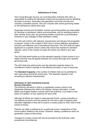# **Admissions & Times**

The County Borough Council, as Local Education Authority (the LEA), is responsible for setting the admission criteria and procedures and for admitting all pupils to primary, secondary and specialist community schools and voluntary controlled schools. The LEA consults with school governing bodies on the admissions criteria each year.

Supported schools and foundation schools' governing bodies are responsible for deciding on admission criteria and procedures, and for admitting pupils to their schools. Each year, the governing bodies consult the Local Education Authority on any changes to their admission criteria.

The LEA will conform with statutory requirements and will give full recognition to parents' choice in the context of their duty to ensure effective educational provision and effective use of educational resources. The LEA shall not reject applicants to a specific school unless that school has reached its standard capacity, which is the number of pupils the school can admit to any year group.

The LEA shall admit pupils up to the standard capacity of each school or to a higher limit that may be agreed between the County Borough and a specific governing body.

The LEA shall only admit pupils over the standard capacity where it is considered it doesn't impinge on the effective provision or use of resources.

The **Standard Capacity** is the number of children that can be admitted to each year group during the school year. This standard capacity is set according to statutory requirements.

# **Admission to LEA maintained schools Nursery Education**

The Authority will admit a child to a maintained nursery school in the September following the child's 3rd birthday. Nursery education, in both Welsh and English medium schools within the Authority, is provided on the basis of 5 weekly 2.5 hour sessions for each child.

Although all efforts are made to meet parental choice, nursery education is not statutory provision and the parents do not have a right of appeal under education legislation if they fail to receive a nursery place for their child in their school of choice.

Parents can state a preference for a particular school, irrespective of their home location relative to the school. However, stating a preference does not guarantee a place at that school.

Transport to nursery school will only be provided by the Authority under exceptional circumstances.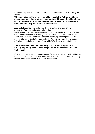If too many applications are made for places, they will be dealt with using the criteria.

**When deciding on the 'nearest suitable school', the Authority will only accept the pupil's home address and not the address of the childminder or grandparents, for example. Parents may be asked to provide official documentation as proof of their home address.**

A school place may be withdrawn if the information provided on the application form is fraudulent or misleading.

Application forms for nursery school admission are available on the Wrexham Council website (www.wrexham.gov.uk) or from the Contact Centre in town. They will be available after the Christmas holidays preceding the year the pupil is allowed to start at nursery school. Parents may be asked to provide official documentation as proof of their child's / children's date(s) of birth.

# **The admission of a child to a nursery class or unit at a particular nursery or primary school does not guarantee a subsequent place at that school.**

If parents consider making an application for a place for their child/ children at the school, you are more than welcome to visit the school during the day. Please contact the school to make an appointment.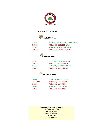

## **TERM DATES 2020-2021**



OPENS: WEDNESDAY, 3rd SEPTEMBER 2020 CLOSES: FRIDAY, 23 OCTOBER 2020 OPENS: MONDAY, 2 NOVEMBER 2020 CLOSES: FRIDAY, 18 DECEMBER 2020



| <b>OPENS:</b> | <b>TUESDAY, 5 JANUARY 2021</b> |
|---------------|--------------------------------|
| CLOSES:       | FRIDAY, 12 FEBRUARY 2021       |
| <b>OPENS:</b> | MONDAY, 22 FEBRUARY, 2021      |
| CLOSES:       | FRIDAY, 26 MARCH 2021          |



| TUESDAY, 13 APRIL 2021      |
|-----------------------------|
| <b>MONDAY, 3 MAY 2021</b>   |
| <b>FRIDAY, 28 MAY 2021</b>  |
| MONDAY, 7 JUNE 2021         |
| <b>FRIDAY, 16 JULY 2021</b> |
|                             |

#### **IN SERVICE TRAINING DATES**

1 & 2 SEPTEMBER 2020 4 JANUARY 2021 22 FEBRUARY 2021 26 MARCH 2021 19 & 20 JULY 2021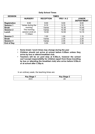# **Daily School Times**

| <b>SESSION</b>      | <b>TIMES</b>               |                  |                  |                                    |
|---------------------|----------------------------|------------------|------------------|------------------------------------|
|                     | <b>NURSERY</b>             | <b>RECEPTION</b> | <b>YRS 1 A 2</b> | <b>JUNIOR</b><br><b>DEPARTMENT</b> |
| <b>Registration</b> | 9:00                       | 9:00             | 9.00             | 9.00                               |
| <b>Session 1</b>    | Varies during the          | 9:15             | 9.15             | 9.15                               |
| <b>Break</b>        | morning                    | Varies           | 10.30            | 10.45                              |
| <b>Session 2</b>    | The morning                | Varies           | 10.45            | 11.00                              |
| Lunch               | session ends at<br>11:30am | 12:00            | 12:00            | 12.15                              |
| <b>Session 3</b>    |                            | 1:00             | 1.00             | 1.15                               |
| <b>Break</b>        |                            | Varies           | 2.30             | 2.20                               |
| <b>Session 4</b>    |                            | Varies           | 2.45             | 2.30                               |
| <b>End of Day</b>   |                            | 3:30             | 3.30             | 3.30                               |

- **Some break / lunch times may change during the year**
- **Children should not arrive at school before 8.50am unless they arrive by bus or attend breakfast club.**
- **Teachers will be on yard duty at 8.50a.m, however the school can't accept responsibility for children (apart from those travelling by bus or attending the breakfast club) who arrive before 8.50a.m or at school after 3.30p.m.**

In an ordinary week, the teaching times are:

| <b>Key Stage 1</b> | Key<br>Stage 2 |
|--------------------|----------------|
| ∠∪.                |                |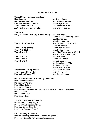# **School Staff 2020-21**

| <b>School Senior Management Team</b>              |                                 |
|---------------------------------------------------|---------------------------------|
| <b>Headteacher:</b>                               | Mr. Osian Jones                 |
| <b>Deputy Headteacher:</b>                        | Mr Geraint Rhys Jones           |
| <b>Foundation Phase Leader:</b>                   | <b>Miss Carys Williams</b>      |
| <b>Junior Section Lead:</b>                       | Mr Geraint Rhys Jones           |
| <b>ALN / Behaviour Coordinator:</b>               | Mrs Cheryl Vaughan              |
| Teachers:                                         |                                 |
| <b>Early Years Unit (Nursery &amp; Reception)</b> | Mrs Sian Rogers                 |
|                                                   | Miss Elain Roberts(0.5) & Miss  |
|                                                   | Llio Hughes (0.5)               |
|                                                   | <b>Miss Sian Moreton</b>        |
| Years 1 & 2 (Gwenfro)                             | Mrs Catrin Higgitt (0.8) & Mr   |
|                                                   | Gareth Hughes (0.2)             |
| Years 1 & 2 (Dyfrdwy)                             | <b>Miss Carys Williams</b>      |
| Years 1 & 2 (Clwyd)                               | <b>Miss Bethan Morris</b>       |
| Years 3 and 4                                     | Mrs Ffion Yaxley-Murray (0.8) & |
|                                                   | Mrs Angharad Parkes (0.2)       |
| Years 3 and 4                                     | Mrs Sian Wyn                    |
| Years 3 and 4                                     | Miss Elen Mostyn                |
| Years 5 and 6                                     | Mr lestyn Jones                 |
|                                                   | Mr Geraint Jones / Mrs          |
|                                                   | <b>Angharad Parkes</b>          |
|                                                   | <b>Miss Rebecca Scott</b>       |
| <b>Additional Learning Needs</b>                  | Mrs Cheryl Vaughan              |
| <b>Junior Department PPA</b>                      | Mrs Rhian Booth                 |
| <b>Foundation Phase PPA</b>                       | Mrs Carys Hughes                |
|                                                   |                                 |

# **Nursery and Reception Teaching Assistants**

Miss Paula Richardson Ms Ceinwen Williams Miss Chloe Oldland Mrs Jayne Williams Miss Morfudd Austin (& the Catch Up intervention programme / specific literacy support) Mrs Gemma Allen Miss Sarah Birch

# **Yrs 1 & 2 Teaching Assistants**

Mrs Kerry Edwards (Clwyd) Miss Gemma Hughes (Dyfrdwy) Miss Ceri Jones (Gwenfro) Mrs Nicola Edwards (1 to 1)

#### **KS2 Teaching Assistants**

Mr Alan Rogers (Catch Up intervention programme) Mrs Rhian Booth (& ALN individuals & groups)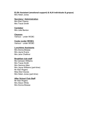# **ELSA Assistant (emotional support) & ALN individuals & gropus)**

Mrs Helen Jones

# **Secretary / Administration**

Mrs Eleri Owens Mrs Tracie Smith

# **Caretaker**

Mrs Julie Benton

# **Cleaners**

Various – under WCBC

# **Cooks (under WCBC)**

Various – under WCBC

## **Lunchtime Assistants**

Mrs Donna Breese Mrs Jayne Evans Mrs Jane Challinor

# **Breakfast club staff**

Ms Ceinwen Williams Mrs Tracie Smith Mrs Gemma Allen Mrs Jayne Williams (part-time) Mr Alan Rogers Miss Eleri Davies Mrs Helen Jones (part-time)

# **After School Club Staff**

Mr Alan Rogers Mrs Alison White Mrs Donna Breese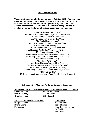# **The Governing Body**

**The current governing body was formed in October 2013. It's a body that governs Ysgol Plas Coch & Ysgol Bro Alun, both schools forming part of the federation. Governors sit for a period of 4 years. This is the current membership of the body but it's liable to change during the academic year as the terms of various governors come to an end.**

**Chair:** Mr Andrew Parry (Legal) **Vice-chair:** Mrs Jane Angharad (Parent at Plas Coch) Mr Steffan Morris (Parent at Plas Coch) Mrs Siân Bostock (Parent at Plas Coch) Mrs Rachel Durnell (Legal) Miss Ffion Hughes (Bro Alun Teaching Staff) **Vacant** (Bro Alun ancillary staff) Mr Alan Rogers (ancillary Staff Plas Coch) Miss Rebecca Scott (Plas Coch Teaching Staff) Mrs Margaret Jones (LEA) Mrs Gwenfair Jones (Gwersyllt Community Council) Mrs Wendy O'Grady (Rhosddu Community Council) Mrs Bethan Roberts (LEA) Mrs Rhodd Arnold (LEA) Mrs Becky Holmes (Parent at Bro Alun) Mrs Jenny Foulkes-Hanmer (Parent at Bro Alun) Mrs Andrea Jorgensen (Parent at Bro Alun) Mrs Wendy O'Grady (Rhosddu Community Council) Mr Marc Jones (LEA) Mr Osian Jones (Headteacher at Ysgol Plas Coch and Bro Alun)

# *Sub-committee Members (to be confirmed in September)*

#### *Staff Discipline and Dismissals Dismissal appeals and staff discipline*

Wendy O'Grady **Rhodd Arnold** Gwenfair Jones Siân Bostock

Bethan Roberts **Andrea** Jorgensen

#### *Pupil Discipline and Suspension Complaints*

Margaret Jones **Bethan Roberts** Rachel Durnell **Becky Holmes** Marc Jones **Marc Jones** Jenny Foulkes-Hanmer Steffan Morris Marc Jones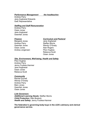#### *Performance Management the headteacher:*

Andrew Parry Jane Angharad Edwards GwE Representative

#### *Staffing and Staff Remuneration*

Andrew Parry Osian Jones Jane Angharad Gwenfair Jones

Margaret Jones **Jane Angharad** Andrew Parry **Steffan Morris** Gwenfair Jones Wendy O'Grady Osian Jones **Alan Rogers** Andrea Jorgensen Ffion Hughes

# *Finance Curriculum and Pastoral*

Rebecca Scott Osian Jones

#### *Site, Environment, Well-being, Health and Safety*

Ffion Hughes Andrew Parry Jenny Foulkes-Hanmer Jane Angharad Osian Jones Rebecca Scott

#### *Community*

Rachel Durnell Wendy O'Grady Andrew Parry Marc Jones Gwenfair Jones Osian Jones

#### *Link Governors*

*Additional Learning Needs:* Steffan Morris *Child Protection:* Siân Bostock *Health and Safety:* Jenny Foulkes-Hanmer

# **The federation's governing body buys in the LEA's advisory and clerical governance service.**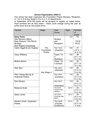# **School Organisation 2020-21**

The school has been organised into Foundation Phase (Nursery, Reception, Yr 1 & Yr 2) & Key Stage 2 (Yrs 3, 4, 5, 6) departments

In September 2019 the pupils will be grouped to register as stated below. Pupil numbers are as they stand  $-$  these could change during the year as some leave and as new pupils arrive.

| <b>Teacher</b>               | <b>Stage</b> | Year                   | Ages     | <b>Number</b> |
|------------------------------|--------------|------------------------|----------|---------------|
|                              |              | Group                  |          | <b>of</b>     |
|                              |              |                        |          | pupils        |
| <b>Early Years</b>           |              |                        | $3 - 5$  | 79            |
| Siân Moreton (Bers)          |              | <b>Nursery</b>         |          |               |
| Elain Roberts / Elin Morris  |              | and                    |          | $(34)$ M      |
| (Erddig)                     |              | Reception              |          | 45 D)         |
| Sian Rogers (Clywedog)       |              |                        |          |               |
| Catrin Higgitt & Llio Hughes | The          | <b>Yrs 1 &amp; 2</b>   | $5-6$    | 27            |
|                              | Foundation   | (Gwenfro)              |          | (13 Yr 1      |
|                              | Phase        |                        |          | 14 Yr 2)      |
| <b>Carys Williams</b>        |              | Years $1\overline{8}$  | $5-6$    | 28            |
|                              |              | $\overline{2}$         |          | (Yr 1 13      |
|                              |              | (Dyfrdwy)              |          | Yr 2 15)      |
| <b>Bethan Morris</b>         |              | Years 1 &              | $5-6$    | 28            |
|                              |              | 2 (Clwyd)              |          | (Yr 1 14      |
|                              |              |                        |          | Yr 2 14       |
| Sian Wyn                     |              | Yrs $3 & 4$            | $7 - 8$  | 26            |
|                              |              | (Glyndwr)              |          | (Yr 3 12      |
|                              | Key Stage 2  |                        |          | Yr 4 14       |
| Ffion Yaxley-Murray &        |              | <b>Yrs 3 &amp; 4</b>   | $7-9$    | 28            |
| <b>Angharad Parkes</b>       |              | (Llywelyn)             |          | (Yr 3 14      |
|                              |              |                        |          | Yr 4 14       |
| Elen Mostyn                  |              | <b>Yrs 3 &amp; 4</b>   | $7-9$    | 24            |
|                              |              |                        |          | (Yr 3 13      |
|                              |              | (Gwenllian)            |          | Yr 4 11       |
| <b>Rebecca Scott</b>         |              | Yrs 5 8 6              | $9 - 11$ | 25            |
|                              |              | (Coed Ywen             |          | (Yr 5 11      |
|                              |              | Owrtyn)                |          | Yr 6 14       |
| lestyn Jones                 |              | <b>Yrs 5 &amp; 6</b>   | $9 - 11$ | 24            |
|                              |              | (Clochdy San<br>Silyn) |          | (Yr 5 10      |
|                              |              |                        |          | Yr 6 14)      |
| Geraint Jones / Angharad     |              | <b>Yrs 5 &amp; 6</b>   | $9 - 11$ | 27            |
| <b>Parkes</b>                |              | (Clychau               |          | (Yr 5 14      |
|                              |              | Gresffordd)            |          | Yr66          |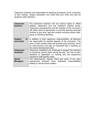Classroom teachers are responsible for teaching all aspects of the curriculum to their classes. Subject specialism can mean that your child may also be taught by other teachers.

| <b>Classroom</b><br>teachers         | The classroom teachers will use various styles to reflect<br>abilities, attainment and the children's interest levels.<br>Classroom arrangements and the transfer of the curriculum<br>will reflect what is appropriate to promote learning amongst<br>children at any time, age and context including whole class,<br>group or individual teaching. |
|--------------------------------------|------------------------------------------------------------------------------------------------------------------------------------------------------------------------------------------------------------------------------------------------------------------------------------------------------------------------------------------------------|
| <b>Subject</b><br>or<br>area leads   | In addition to their classroom responsibilities, all teachers<br>are responsible for specific aspects of the curriculum. The<br>roles of each subject lead will promote good practice, strive<br>for improvement, and play an important part in drawing up<br>the school development plan.                                                           |
| <b>Classroom</b><br><b>Assistant</b> | Classroom assistants are employed to support the teachers<br>by achieving various tasks during the day. The role of each<br>assistant is dependent on training and the experience<br>required to fulfil specific tasks.                                                                                                                              |
| <b>Senior</b><br>Managers            | The Head-teacher, Deputy Head and some of the more<br>experienced teachers have additional<br>responsibilities<br>relating to whole school matters.                                                                                                                                                                                                  |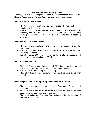# **The National Workload Agreement**

You may be aware that changes have been made in schools as a result of the National Agreement on Raising Standards and Tackling Workloads.

# **What is the National Agreement?**

- The National Agreement was drawn up to support the raising of standards within schools.
- It aims to do this by allowing teachers to spend more time teaching by releasing them from other functions and recognizing that other adults working in schools can make a valuable contribution to teaching children.

# **Who decided on these changes?**

- The Governors, employers and some of the unions signed this agreement.
- Every school and Governing Body have to implement the changes according to the act.
- From September 2005, the teachers had the right to plan, prepare and assess within the school day – PPA Time.

# **What does PPA stand for?**

- Planning, Preparation and Assessment (PPA) time is provided so that teachers can plan, prepare and assess the work of pupils.
- It has to be provided during the school day.
- This will reduce the huge amount of work teachers currently do after school.

# **What will your child be doing during the teacher's PPA time?**

- The pupils will complete activities that form part of the school curriculum.
- At Plas Coch, pupils will be taught by a teacher or Level 4 Assistant during the classroom teacher's PPA time.
- The Headteacher and Governing Body will ensure that the standard of teaching is maintained.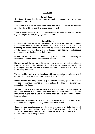# **The Pupils**

#### **School Council**

Our School Council has been formed of elected representatives from each class from Year 2 to 6.

The council will meet at least once every half term to discuss the matters raised by the children regarding school development.

There are also various sub-committees / councils formed from amongst pupils e.g. eco, digital wizards, language ambassadors

## **School Rules**

In this school, rules are kept to a minimum while those we have aim to assist to make life more enjoyable for everyone, as they relate to the safety and wellbeing of pupils. These are supported by school's **"Golden Rules"**. We aim to encourage each child to have a feeling of self-discipline, self-respect and respect towards others and their properties.

**Movement** around the school should be quiet and organized particularly in corridors and foyers where accidents can happen.

**During school hours** no children can leave school without permission. Parents can pick up their children for medical appointments etc. but should provide prior warning. Parents are asked to contact the office when collecting or returning their child.

We ask children not to wear **jewellery** with the exception of watches and if earrings must be worn, they should be restricted to "studs".

Pupils **should not** bring chewing gum, mobile phones, Ipods (or similar devices) or computer games to school unless the classroom teacher has requested they do so.

We ask pupils to follow **instructions** at the first request. We ask pupils to keep their voices to an appropriate level during school activities. We will instruct the pupils not to use their hands, feet, objects of harmful remarks towards others.

The children are aware of the school's active **no littering** policy and we ask that adults encourage and display adherence to this policy.

**Courtesy and consideration** needs to be displayed in all behaviours and situations. The Headteacher or relevant staff will investigate all incidents of antisocial, threatening behaviour or bullying at once in accordance with our behaviour and anti-bullying policies.

.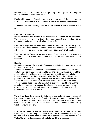No one is allowed to interfere with the property of other pupils. Any property should have the owner's name on it.

Pupils will receive information on any modification of the rules during assembly or through the School Council. Parents will be informed via letter.

All school staff are encouraged to **help and remind** pupils to adhere to the rules.

## **Lunchtime Behaviour**

During lunchtime, the pupils will be supervised by **Lunchtime Supervisors.** We expect pupils to show them the same respect and courtesy as is appropriate and expected by all other school staff.

**Lunchtime Supervisors** have been trained to help the pupils to enjoy their lunchtime and have access to various resources whatever the weather. The school has invested money to buy appropriate equipment for all pupils.

The **Lunchtime Supervisors** are aware of our behaviour management methods and will follow Golden Time guidance in the same way as the teachers.

#### **Results**

All pupils are aware of the result of unacceptable behaviour and this will lead to losing Golden Time.

To promote acceptable behaviour, the school has adopted the Golden Time system. Nine golden rules were established and if any child breaks one of the golden rules, they will receive a first time warning, but if a golden rule is broken a second time, their name will go into the file and the child will lose part of the Golden Time. If any child was to miss three consecutive Golden Times, the behaviour coordinator will have a chat with the child. If Golden Time is missed three times after the chat, a letter will be sent home and the parents will be called in to discuss the situation. As good behaviour is an essential factor of educational success, we expect the full cooperation of parent in dealing with any problems.

We will **contact the parents** by letter or phone calls at once in cases of intentional damage or regular offending. If persistent poor behaviour exists, the cooperation of parents is essential and their support is required to deal with the issue. We expect a positive response and full cooperation in dealing with behavioural problems.

In **extreme cases** where all efforts have failed or a case of serious misbehaving e.g. attacking a member of staff, the Headteacher has the right to **exclude** a pupil for a short or fixed time or permanently. Wrexham LEA and Welsh Government procedures will be followed if this is necessary.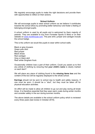We regularly encourage pupils to make the right decisions and provide them with opportunities to reflect on their actions.

#### **School Uniform**

We will encourage pupils to wear school uniform as we believe it contributes towards the school ethos by promoting better behaviour and foster a feeling of belonging amongst pupils.

A school uniform is used by all pupils and is welcomed by them majority of parents. They are available to buy from Forrester Sports in Mold or on their website on www.monkhouse.com. The polo shirt, jumper and cardigan include the school badge.

This is the uniform we would like pupils to wear within school walls.

Black or grey trousers Green polo shirt Red jumper Black shoes Red cardigan Grey or black skirt Red/ white Gingham frock

Occasionally children lose a part of their uniform. Could you assist us to find any article of clothing by ensuring that **your child's name** is clearly marked on each item?

We will place any piece of clothing found in the **missing items box** and the content of the box will be regularly displayed to the whole school.

**Earrings** should not be worn to school due to health and safety reasons. If one must be worn, it should be a "stud", but they must be taken off for physical education activities.

An effort will be made to allow all children to go out and play during all break times. It is therefore essential that they wear warm coats during winter months and consider safety in the sun during summer months.

The above details are available in the school uniform policy which is reviewed every three years (last review in October 2019).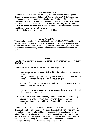# **The Breakfast Club**

The breakfast club is available for every child and parents can bring their children to school between 8.05am & 8.45am. Following WCBC's system, a £1 fee per child is charged if attending between 8:05am & 8:25am. The club is free of charge to anyone attending between 8:25am and 8:45am. The children are supervised by breakfast club staff. **Children attending the breakfast club must take breakfast.** The Welsh Government provide free and healthy breakfasts to every child that wishes it.

Further details are available from the school office.

## **After School Club**

The school run a daily After school club between 3:30 & 5:25 The children are supervised by club staff and light refreshments and a range of activities are offered indoors and weather permitting, outside. A fee is charged depending on the amount of time they attend. Please contact the school for details on cost.

## **Transfer**

Transfer from primary to secondary school is an important stage in every child's life.

The school aim to make the transfer as smooth as possible by:

- arranging a period for Year 5 & 6 children to visit secondary school to meet staff.
- arrange additional periods for a group of children that may require more support than others to settle in (induction group)
- arrange a Technology day for Year 5 children at secondary school at the end of the summer term.
- encourage the continuation of the curriculum, teaching methods and classroom arrangements;
- every Year 6 pupil at Morgan Llwyd feeder school attend a three day course at the Urdd centre at Glan-llyn where they will have an opportunity to meet every child transferring with them to secondary school.

The transfer from cylchoedd meithrin, nurseries etc. to the school's Nursery class is also extremely important. Nursery class staff will visit establishments during the summer term to facilitate the process of starting children at the school. Parents evenings take place for parents of children who are about to start at Nursery and Reception class in early June each year. The children will also have an opportunity to spend some time at the school to become accustomed to the school during the transfer week in June.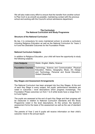We will also make every effort to ensure that the transfer from another school to Plas Coch is as smooth as possible, maintaining contact with the previous school and working with the Council's school admissions department.

# **The Curriculum The National Curriculum and Study Programme**

# **Structure of the National Curriculum**

By law, it is compulsory for every maintained school, to provide a curriculum including Religious Education as well as the National Curriculum for Years 3 to 6 and the Desirable Outcomes for the Foundation Phase.

# **National Curriculum Subjects**

In addition to Religious Education, your child will have the opportunity to study the following subjects.

| <b>Core Subjects</b>      | Welsh, English, Maths, Science                                                                                                                                                |
|---------------------------|-------------------------------------------------------------------------------------------------------------------------------------------------------------------------------|
| <b>Foundation Courses</b> | Technology, Science and Communication, Physical<br>Education, History, Geography, Music, Art, Design<br>and Technology, Personal and Social Education,<br>Global Citizenship. |

# **Key Stages and Assessment Arrangements**

The National Curriculum has been arranged into four Key Stages. At the end of each Key Stage in every subject, the pupils' performance standards are noted in outcomes / level descriptions which progress increasingly. The Foundation Phase outcomes run from 1 to 6 while levels have a range from 1 to 8 and higher.

The pupils are assessed at the end of each Key Stage and their progress will be measured in relation to National Curriculum standards and the Study Programme noted in the level descriptions. At this school, the teacher's assessment forms the basis of the assessment as well as the use of standard tests.

The parents of Year 2 and 6 pupils will receive information on their child's outcome / level in the annual report.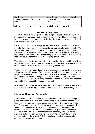| <b>Key Stage</b>            | Ages     |            | <b>Year Group</b>                   | <b>Expected Level</b> |
|-----------------------------|----------|------------|-------------------------------------|-----------------------|
| The Foundation  <br>l Phase | $3 - 7$  | <b>vrs</b> | Nursery,<br>Reception, Yrs<br>1 & 2 | Outcome 5             |
| K.S. 2                      | $7 - 11$ | <b>vrs</b> | Yrs 3,4,5 & 6                       | Level 4               |

# **The School Curriculum**

The **curriculum** is the range of subjects taught to pupils. This school provides an extensive, balanced and integrated curriculum which challenges and stretches every child, promoting fully the development of each individual irrespective of their age or ability.

Every child will have a range of activities which provide them with the opportunity to grow, not only academically but also socially and physically. We will provide opportunities to develop personal skills such as cooperation, tolerance, independence and organization. Some subjects are taught separately while others are occasionally part of a theme with teaching methods varying according to the class, group or individual.

The school has timetables and policies that outline the way subjects will be taught and when. The work plans for each subject provide the teachers with a clear structure. Policies and work plans are regularly reviewed.

Thorough planning, record keeping and assessments by teachers ensure a full coverage and transfer of the curriculum and they are supported by the subject coordinators within the school. There are subject coordinators for each National Curriculum subject. The subject coordinators will further their skills and knowledge by attending courses, arrange resources and monitor work within their subject throughout the school.

High priority is placed on developing Key Skills, namely literacy, numeracy and information technology, and this is done across all curriculum subjects.

# **Literacy and Numeracy Frameworks**

From September 2013 onwards, it became statutory for every school to put in place literacy and numeracy frameworks, using them as the foundation for all teaching. The frameworks were announced by Welsh Government with the aim of improving the skills of children and young people in both aspects. The school has put in place the frameworks, providing opportunities for the children to use the skills across the curriculum. As part of the frameworks, each child from Yrs 2-6 will sit statutory tests each May. The test results provide a picture for parents and the school on the children's literacy and numeracy standards. In Yrs 2 & 6, the results are used as evidence when deciding on children's attainment.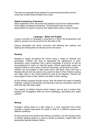The tests are gradually being replaced by personal assessments and the school will conduct these at least once a year.

# **Digital Competency Framework**

Since September 2016, the school has started to plan for the implementation of the digital competence framework. The framework aims to provide opportunities for pupils to improve their digital skills across a range of areas.

## **Language – Welsh and English**

A good command on language is essential to a child's full development and leads to success not only at school but also later in life.

Literacy permeates the whole curriculum and listening and reading, and reading and writing skills are relevant across the board.

## **Reading**

Reading is taught throughout the school using a range of methods and techniques. Children are lead to appreciate the significance of print, developing visual vocabulary with a good knowledge of phonics as well as encouragement to make an informed guess. Where appropriate, pupils are regularly asked to read a piece of text as individuals, groups and as a class. Children are encouraged to take books home with them. Each child has a Reading Record and we expect every parent to listen to their children reading and make notes in the record booklet as well as the teachers. Parents are encouraged to read to their children and listen to them reading.

As the children progress through school, they will extend the range of reading materials, reading to themselves and learning to discuss characters, plots and what they like with other pupils.

The majority of children become fluent readers and we aim to extend their reading and investigative skills into more challenging, stimulating and varied subjects.

#### **Writing**

Emergent writing leads at a later stage to a more structured form which provides a regular opportunity for pupils to write for a different purpose and different audiences.

As they become more familiar with writing conventions, we will introduce them to familiar spelling patterns as well as simple punctuation, capital letter and appropriate spacing between letters.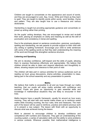Children are taught to concentrate on the appearance and sound of words, and they are encouraged to Look, Say, Cover, Write and Check as they learn to spell. They are taught to identify words within words, word families, rhyme and pattern. They are also taught how to use a thesaurus and various dictionaries.

Handwriting is taught but providing appropriate guidance and concentrate on joined up writing rather than printing.

As the pupils' writing develops, they are encouraged to revise and re-draft their work, placing an emphasis on clarity and meaning as well as the skill of punctuation and consistency in tense and spelling.

Due to the emphasis placed on sentence construction, grammar, punctuation, spelling and handwriting, we ask parents to provide support to their child with any writing or spelling homework. Encourage your child to write sentences with some of the spelling words so that they start understanding the meaning of the word and through this strengthen sentence structure.

# **Listening and Speaking**

We aim to develop confidence, self-respect and the skills of pupils, allowing them to express themselves effectively and appropriately. We believe that children should be able to listen and respond attentively and thoughtfully to others, showing respect and tolerance to their point of view

The children will take part in various activities for various audiences such as reading out loud, group discussions, drama activities, presentation to class, taking part in the school assembly and any presentation to parents.

#### **Maths**

We believe that maths is accessible to all and we hope through our maths teaching, that our pupils will enjoy maths activities with confidence and success. Pupils are given an opportunity to gain essential skills and knowledge in mathematical situations they are likely to encounter in their lives.

Maths lessons have a specific framework, usually for around an hour every morning. They will start with oral mental maths drawn up to reinforce varied maths skills including counting, the four rules, time and measures. The main part of the lesson will be used to reinforce, practice and extend previous work or to present a new subject. The lesson with finish with an opportunity to discuss what was achieved during the lesson.

Work is planned to encourage children to develop confidence and competence with numbers and measures. They gain an understanding of the counting system, a series of calculation skills and the ability to solve problems in various contexts. Wherever possible, their mathematical intelligence is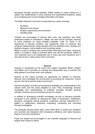developed through practical activities. Maths relates to pupils looking for a pattern and relationships to solve practical and hypothetical problems, doing so by analysing and communicating information and ideas.

The Maths National Curriculum incorporates four areas including:

- Numbers,
- Measures and money,
- Shapes, opportunity and movement,
- Handling Data

Children are encouraged to discuss their work, ask questions and make predictions based on experience. Initially, the work will be practical, learning to solve problems by using tangible materials. Later on, there is an opportunity to discuss numbers, use equipment, learn to measure and compare measurements using standard and non-standard units, arrange and distribute shapes, notice patterns and recording results.

Maths is used to analyse and communicate information and ideas. Everyone needs it to tackle a range of practical tasks and real life problems. Maths is very important due to its widespread use in every day work situations and it can also be key in other areas of the curriculum.

#### **Science**

Science is recognized as the fourth core subject alongside Welsh, English and Maths and it provides an exciting and pleasurable way to practice the skills gained in the three other core subjects.

Science at this school provides an opportunity for children to examine, discover and investigate the environment surrounding the classroom, school ground, the home and the wider environment.

Science education is aimed at increasing knowledge and understanding of the natural world and the world adapted by man. They increasingly develop knowledge and understanding of scientific concepts through practical activities. Science can be introduced as part of a theme.

In addition to developing scientific knowledge, we aim to introduce scientific processes to the children by teaching the skills of observation, distribution, grouping, comparing, asking questions, predicting, proving, searching for a pattern or relationship, analysing, evaluating, comparing and recording through investigation.

The gradually develop these skills, which allow them to tackle new problems and consider real situations with increasing confidence and make decisions based on previous experience.

Pupils are taught and encouraged to use scientific language to discuss and explain their results to others.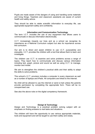Pupils are made aware of the dangers of using and handling some materials and living things. Teachers and classroom assistants are aware of current health and safety advice.

They should be able to relate scientific information to everyday life, use appropriate equipment safely and confidently.

#### **Information and Communication Technology**

The term I.C.T. includes the use of any equipment that allows users to communicate or discuss information electronically.

I.C.T. increasingly impacts our lives and as a school we recognise its importance as a National Curriculum subject but also its importance across the curriculum.

Our aim is to direct and assist children to use I.C.T. purposefully and enjoyably. I.C.T. provides the children with a tool that allows them to learn and investigate.

The children use I.C.T. to examine and solve problems across a range of topics. They teach how to communicate and discuss various information including text, graph, picture and sound as well as using I.C.T. to manage, monitor and model.

We aim to strengthen the children's practical skills and their ability to adapt the skills to solve problems.

This school's I.C.T. provision includes a computer in every classroom as well as a number of laptops and IPads. All computers are linked to the internet.

No child will be allowed to use the internet or send e-mail unless the parents provide permission by completing the appropriate form. There will be no unsupervised use.

See also the above note on the digital competency framework.

# **Design & Technology**

Design and Technology is a practical problem solving subject with an emphasis on finding answers to real tasks and situations.

The children will have the opportunity to use various appropriate materials, tools and equipment and will be taught to use them safely and wisely.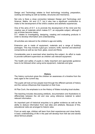Design and Technology relates to food technology including, preparation, cooking and tasting as well as textiles, structures and mechanics.

Not only is there a close connection between Design and Technology and Science, Maths, Art and I.C.T, but it also has a significant contribution to make to the development of the child's creative and aesthetic experiences.

One of the aims of D.T. is to promote the development of the mind and the creative use of materials which makes D.T. an enjoyable subject, although it can at times become messy.

D.T. relates to investigating, designing, creating and evaluating products in order to develop information and understanding.

All activities are relevant to the children's age and ability.

Extensive use is made of equipment, materials and a range of building packages. This may include a glue gun, scissors, knife, hammer and electrical components as well as raw food, glass, wood and fibres.

Considerable care is exercised when teaching this subject. An effort is made to provide sufficient supervision as children use relevant equipment.

The health and safety of pupils is vitally important and appropriate guidance have to be followed when using some equipment, materials and glue.

#### **History**

The history curriculum gives the children an awareness of a timeline from the early ages to the current day.

The pupils will look at how people lived through the different periods of history and the various influences that impacted on their lives.

At Plas Coch, the emphasis is on the History of Wales including local studies.

The teaching includes discussing artefacts, documentation and illustrations to differentiate between the old and new using reference material to select relevant information.

An important part of historical enquiries is to gather evidence as well as the ability to deduce information from real sites and artefacts. Because of this, educational visits are arranged to historic sites.

From an early age, children will learn from their experiences and close family. A basic understanding of life in the past will develop from folk law and stories about famous people.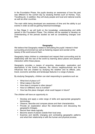In the Foundation Phase, the pupils develop an awareness of how the past was different to the current day by studying themes such at Homes, Toys, Travelling etc. In addition, they will study people and local and national events as well as other countries.

The main skills being developed are awareness of time and the ability to put events in order as well as gaining historical knowledge.

In Key Stage 2, we will build on the knowledge, understanding and skills gained in the Foundation Phase. The children will be assisted to develop an understanding of the periods studied as well as considering changes over time.

## **Geography**

We believe that Geography relates to stimulating the pupils' interest in their surrounding environment as well as fostering respect and wonder at the beauty of the world around them.

Geography helps children to understand and respect their surrounding and its relationship with the rest of the world by learning about places and people's interaction within these places.

Geography provides a means of enquiring, observation, exploration and descriptions of the Earth's features, the various neighbourhoods and the influences that are created by studying the weather and its effects, jobs, travel, economic activities and landscape features in a range of places.

By studying Geography, children can start responding to questions such as:

- What kind of place is it?
- What makes it like this?
- How does it compare to other places?
- How is it different, how is it similar?
- How has this place changed, what could happen in future?

The children will have an opportunity to:

- Develop and apply a wide range of skills and appropriate geographic terminology.
- Observe, describe and compare places and their characteristics.
- Provide an explanation about the observations and discussing the geographic linkages.
- Record their ideas logically.
- Become aware of places outside their local area.
- Examine and identify changing and contrasting geographic patterns and what their relationship is with the human and physical process.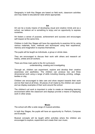Geography in both Key Stages are based on field work, classroom activities and may relate to educational visits where appropriate.

**Art** 

Art can be a lovely means of developing visual and creative minds and as a school, we believe art is something to enjoy and an opportunity to express ourselves.

Art fosters a sense of purpose, achievement and success and encourages self-respect at the same time.

Children in both Key Stages will have the opportunity to examine Art by using various materials, tools, methods and techniques using their experience, memory and imagination to express themselves.

The pupils will be taught as individuals, a group or whole class.

They are encouraged to discuss their work with others and research art history, artists and art workers.

There are three main parts to the Art curriculum: understanding, creating and investigating.

Through art, children can experiment, explore and develop their creative awareness and aesthetics. The children can produce two and three dimensional work using a range of skills including drawing, printing, collage, textiles or clay.

Children are encouraged to take care and show respect towards their work and do their best at all times. All pieces of art made by the children are valued and we display examples of their work around the school.

The children's art work is important in order to create an interesting learning environment within the classroom and displays provide a means of displaying work in other areas.

#### **Music**

The school will offer a wide range of musical activities.

In both Key Stages, the pupils will have an opportunity to: Perform, Compose and Evaluate.

Musical concepts will be taught within activities where the children are encouraged to explore, experiment and create their own music.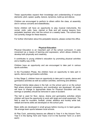These opportunities expand their knowledge and understanding of musical elements: pitch, speed, quality, texture, dynamics, build-up and silence.

Children are encouraged to perform to others within the class, at assembly and in various concerts and eisteddfodau.

Some children will have an opportunity to play musical instruments, the cornet, violin, cello, harp, clarinet or flute and will receive lessons from peripatetic teachers who visit the school on a weekly basis. The school does not currently charge for these lessons.

For further information about the peripatetic lessons, please contact the office.

## **Physical Education**

Physical Education is an important part of the school curriculum. It uses movement as a means of learning and expression, which allows children to develop both physically and creatively.

It contributes to young children's education by promoting physical activities and a healthy way of life.

Children have an opportunity and are encouraged to take part in various sports activities.

In the Foundation Phase, the children have an opportunity to take part in sports, dance and gymnastics activities.

In Key Stage 2, children have an opportunity to take part in sports, dance and gymnastics activities as well as outdoor activities, swimming and athletics.

Physical Activity takes place in the hall, on the school yard or on the school filed where physical competency and coordination are developed. All pupils will have to change to appropriate dress for Physical Education and any earrings or jewellery should be removed in case of accident.

The hall is used for floor, dance, drama and gymnastics activities where children will have the opportunity to work with large and small equipment. The field is used for rounders, football, cricket, athletics and hockey while ball, netball and tennis skills are developed on the school yard.

Basic skills are developed in small groups before moving on to team games. We arrange team sports between local schools.

At Plas Coch, swimming lessons are offered to Year 4 in the Autumn Term, Year 5 in the Spring Term and Years 3 & 6 in the Summer Term (½ a term each)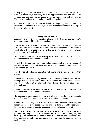In Key Stage 2, children have the opportunity to attend Gwersyll yr Urdd, Glan-llyn near Bala, where they have the opportunity to take part in various outdoor activities such as Canoeing, climbing, orienteering and hill walking. This is a very enjoyable course for both children & staff.

Our aim is to promote a healthy lifestyle through physical activities and introduce the children to the enjoyment and success that comes to their part by taking part in sport.

## **Religious Education**

Although Religious Education isn't an element of the National Curriculum, it's a compulsory part of the school curriculum.

The Religious Education curriculum is based on the Wrexham Agreed Syllabus. Our work plans provide a broad and moral education for the children which allows them to become aware of the world's religions with an emphasis on all aspects of Christianity.

We will encourage children to develop their awareness of life experiences, and the way their religion differs to others.

In both Key Stages the pupils' knowledge, understanding and awareness of Christianity and other religions are developed ensuring sequential and meaningful experiences.

The themes of Religious Education will complement work in many other areas.

The children will examine religion whilst voicing their experiences and feelings through discussion, literature, stories from around the world, drama, dance, workshops, writing, art, worship and singing leading to the way others voice their feelings.

Through Religious Education we aim to encourage respect, tolerance and empathy towards belief and other customs.

Our services are non-denominational and will often relate to different aspects of the Christian Faith as well as other beliefs and moral matters.

Children are encouraged to take part in classroom services. Local religious leaders and visitors will occasionally be invited to lead assembly. Assemblies to celebrate a festival or special occasions will take place as required.

We hope that every child will take part in all aspects of school life, however if parents wish, they can take their children out of an act of worship, religious training or an element of it. If that is their wish, parents should contact with the Headteacher and other arrangements will be made for their child during such periods.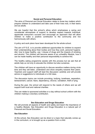# **Social and Personal Education**

The aims of Personal and Social Education relate to those key matters which prepare children to understand and take care of their lives now, in their teens and as adults.

We are hopeful that this school's ethos which emphasises a caring and considerate atmosphere of support to develop respect towards individual, appreciate everyone's success and encourage an approach that will allow children to make a positive contribution to the community and live harmoniously with others.

A policy and work plans have been developed for the whole school.

The aim of P.S.E. is to provide additional opportunities for children to expand their understanding about their bodies and how they work, personal hygiene, diet, how to keep healthy, use / misuse of drugs and the impacts of smoking and alcohol. The children will become aware of an unhealthy lifestyle, how it can be made healthy and their personal responsibility to achieve this.

The healthy eating programme assists with this process but we ask that all adults help us not only to educate the children but also ourselves.

The children will have an opportunity to discuss sensitive matters during circle time and they will listen, understand and show empathy towards their peers. Teachers and support staff will lead the discussion carefully and will provide advice or suggestions to individuals or a full class.

The discussion topics can include provoking, bullying, loneliness, separation, bereavement, cancer, fears, dependency, divorce, vandalism, theft or lying.

During the year, the school will respond to the needs of others and we will support both local and national charities.

This can relate to sponsored activities or a day without school uniform with the children making a voluntary contribution.

# **Sex Education and Drugs Education**

We will promote all aspects of health and safety and teach the importance of a healthy lifestyle. Sex Education and Drugs Education is a natural part of Personal and Social Education.

# **Sex Education**

At this school, Sex Education can be direct or a topic that naturally comes up in the curriculum, or is brought up as a question from a child.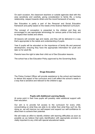On each occasion, the classroom teachers or outside agencies deal with this area sensitively and carefully, giving consideration to family life, a loving relationship, respect towards others and the moral framework of society.

Sex Education is partly a part of the Personal and Social Education framework and partly based on the needs of the Science National Curriculum.

The concept of conception is presented to the children and they are encouraged to use appropriate terminology for various parts of the body and to respect their bodies and others.

All lessons will consider age and needs, and they will be delivered in a way that's appropriate to the needs and understanding of pupils.

Year 6 pupils will be educated on the importance of family life and personal development, ensuring they have the appropriate information for youth and later on for adult life.

Parents have the right to take their child out of Sex Education lessons.

The school has a Sex Education Policy approved by the Governing Body.

# **Drugs Education**

The Police Contact Officer will provide assistance to the school and teachers to deliver this aspect of the curriculum and it will reflect the school's needs in a way that is sensitive and relevant to the children's age.

#### **Pupils with Additional Learning Needs**

At some point in their lives pupils will possibly need additional support with their education.

Our aim is to provide full access to the curriculum for every child, concentrating on what they are able to do rather than what they can't do. By doing so, we will improve our self-respect and expand our self-confidence to allow them to achieve their potential.

We will make an effort to identify children with learning difficulties as soon as possible as we believe that early identification with appropriate provision is vitally important to any child with special educational needs.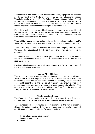The school will follow the national threshold for identifying special educational needs as noted in the Code of Practice for Special Educational Needs. Threshold levels were identified for School Concern, School Action, School Action Plus, and Statement of Special Needs. A part of the code asks us to record the names of those identified as requiring assistance. The Special Needs Register is confidential for those providing for the child.

If a child experiences learning difficulties which mean they require additional support, we will contact the parents as soon as possible to state our concerns. Beth classroom teacher, special needs coordinator and the Headteacher will discuss any concerns within the school.

There will be regular communication between the school and the home as it's vitally important that the involvement is a key part of any support programme.

There will be regular contact between the school and Language and Speech Services, the Educational Psychologist and any other relevant outside agencies.

All agencies will be part of the development and the result of the child's Individual Educational Plan (C.A.U.) or Behavioural Plan if that is the recommendation.

Pupils with in classrooms can receive the support of a Classroom Assistant if this is noted in their Statement.

#### **Looked After Children**

The school will give every possible assistance to looked after children. Wrexham LEA have arrangements to ensure that these children are admitted to schools (please see the admissions booklet for parents). We will deal with each child according to their personal requirements, ensuring that their educational, social and pastoral needs are given appropriate attention. The person responsible for looked after children at Plas Coch is Mrs Cheryl Vaughan and, in her absence, Mr Osian Jones.

# **The Foundation Phase**

The Foundation Phase includes Nursery, Reception Year 1, Year 2 classes. In these years, the children follow the "Foundation Phase Framework".

The Foundation Phase curriculum is developmental in the way it prepares children to enjoy learning. It follows a programme of carefully planned activities and is grouped under the following headings:

- Personal and Social Development
- Language and Literacy
- Maths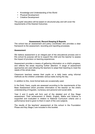- Knowledge and Understanding of the World
- Physical Development
- Creative Development

The pupils' education will be based on structured play and will cover the requirements of the Desired Outcomes.

# **Assessment, Record Keeping & Reports**

The school has an assessment and policy coordinator who provides a clear framework to the assessment, recording and reporting processes.

## **Assessment**

We believe assessment is an integral part of the educational process and in this school its purpose will be to support the child and the teacher to assess the impact of provision on learning experiences.

Assessment provides a means of gathering information on a child's progress, and reflects the areas requiring further attention. A range of assessment approaches are used allowing the teachers to adapt their teaching to meet the needs of the whole class.

Classroom teachers assess their pupils on a daily basis using informal methods as the children undertake various tasks during the day.

In addition to this, more formal tests are occasionally used.

In the Early Years, pupils are assessed according to the requirements of the Base Assessment which provides information to the teacher on the child's understanding of linguistic, numeracy and personol and social skills.

Year 2 and 6 pupils will form part of the detailed end of Key Stage assessment. Their achievement in Welsh, English, Maths and Science is supported and evaluated in relation to National Curriculum criteria and a performance level is given to them in each of the core subjects.

The results of the teachers' assessment at this school in the Foundation Phase and Key Stage 2 are included in this booklet.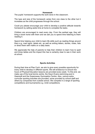#### **Homework**

The pupils' homework supports the work done in the classroom.

The type and size of the homework varies from one class to the other but it increases as the child progresses through the school.

Could you please encourage your child to develop a positive attitude towards homework by setting aside time at home to complete the tasks.

Children are encouraged to read every day. From the earliest age, they will bring a book home with them and we ask you to spend time listening to them reading it.

Spend time helping your child to learn life skills such as reading things around them e.g. road signs, labels etc. as well as writing letters, stories, notes, lists or direct them with maths on a daily basis.

We appreciate the help of parents to help their children to learn how to spell and times tables and the impact this has is certainly clear to see in their work at school.

## **Sports Activities**

During their time at Plas Coch, we aim to give every possible opportunity for every child to develop in different sports. We will endeavour to ensure two hours of Physical Education lessons are provided every week. To this end, we make use of the local tennis centre, the Gwyn Evans swimming pool in Gwersyllt and the Queensway Gymnastics Centre. Also, various extracurricular sporting activities are provided, some provided by school staff and others by companies from outside school. We compete in a range of sporting competitions and tournaments e.g. Urdd competitions.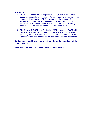# **IMPORTANT**

- 1. **The New Curriculum –** In September 2022, a new curriculum will become statutory for all schools in Wales. The new curriculum will be announced in January 2020. The school is in the process of experimenting, planning and developing the new curriculum in readiness for September 2022. The above information will change gradually over the coming period until September 2022.
- 2. **The New ALN CODE –** In September 2021, a new ALN CODE will become statutory for all schools in Wales. The school is currently preparing for the new code. The above information on ALN will be updated as required by the time the new code becomes operational.

**Contact the school if you require further information about any of the aspects above.**

**More details on the new Curriculum is provided below:**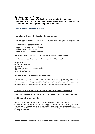#### **New Curriculum for Wales;**

# **'Our national mission in Wales is to raise standards, raise the attainment of all children and ensure we have an education system that is a source of national pride and public confidence.'**

## Kirsty Williams, Education Minister

# **Four aims will be at the heart of the curriculum.**

These support the curriculum to encourage children and young people to be:

- ambitious and capable learners
- enterprising, creative contributors
- ethical, informed citizens
- healthy and confident individuals

#### **The new curriculum will be 'inclusive, broad, balanced and challenging'.**

It will have six Areas of Learning and Experiences for children ages 3-16 yrs:

- Expressive arts
- Health and Wellbeing
- Humanities
- Languages, literacy and communication
- Maths and numeracy
- Science and technology

#### **'Rich experiences' are essential for intensive learning.**

It will be important to consider the range of experiences already available for learners in all school communities; consider how best to apply them, build on and improve them; and what new experiences can be offered to support the four aims. Promoting learners' experiences is an integral part of learning but it's also an important aspect of raising aspirations.

# **In essence, the Pupil Offer relates to finding successful ways of**

# **sparking interest, stimulate increasing passion and confidence in our**

#### **children and young people.**

This curriculum relates to finding more effective ways of delivering the curriculum, communicate high expectations, raise an individual's aspirations and ambitions to succeed in everything they choose to do. It works with a wide range of partners to develop broad opportunities and activities which further horizons within and beyond the traditional classroom learning environment.

**Literacy and numeracy skills will be incorporated in a meaningful way in every school.**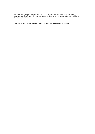Literacy, numeracy and digital competency are cross-curricular responsibilities for all practitioners. The focus will remain on literacy and numeracy as an essential prerequisite for the new curriculum.

**The Welsh language will remain a compulsory element of the curriculum.**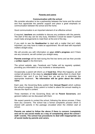# **Parents and carers**

# **Communication with the school**

We consider education to be a partnership between the home and the school and thus appreciate the parents' support and place a great emphasis on communication between the school and the home.

Good communication is an important element of an effective school.

If required, **teachers** are available to discuss any problems with the parents. The start of the day can be very busy, therefore it would be easier if parents could make arrangements to meet them at the end of the day.

If you wish to see the **Headteacher** to deal with a matter that isn't vitally important, you may have to make an appointment. We will deal with important matters straight away.

We will provide you with information on **your child's progress** and if there are any concerns, we will contact you straight away.

**Parents evenings** will be held during the first two terms and we then provide a **written report** in the third term.

The school website, app, Facebook and Twitter will be regularly updated, providing you information on any incidents or developments.

Occasionally a parent will inform us of **head lice.** When this happens, we will contact all parents in the class by **standard letter** asking them to check their children's hair, and if you find head lice, we ask you to administer the appropriate treatment. **No information will be given about the child's name.**

Each year, the Governing Body publish their **Annual Report** which outlines the school's progress. Every parent is invited to attend the annual meeting to discuss the report's content.

Three members of the Governing Body will be **Parent Governors**, and general matters can be discussed with them.

We expect parents to contact the school, following the above process, if they have any concerns. The school has a formal complaints process which is shared with parents in the package circulated when the children start at school.

**Parents are asked to follow the above if there is concern /complaints and not to use social media as a way of complaining about the school / staff / events. The school has procedures to deal with inappropriate use of social media by parents and carers.**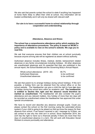We also ask that parents contact the school to state if anything has happened at home that's likely to affect their child at school. Any information will be treated confidentially and it will only be shared with relevant staff.

# **Our aim is to have a successful home to school relationship through cooperation and understanding.**

## **Attendance, Absence and Illness**

**The school has a comprehensive attendance policy which explains the importance of attendance procedures. The policy is based on WCBC's policy and is available to view on the school's website. We urge you to read this.**

We ask that everyone ensures that their children are at school punctually because anyone arriving late will be registered as absent without authority.

Authorised absence includes illness, medical, dentist, bereavement related absences or any family circumstances including holidays. All other absences are unauthorised absences and it's essential that they are published in the annual report, the School Booklet and the Governing Body's Annual Report.

| Whole school attendance (2019 - 20) | 95.7%           |
|-------------------------------------|-----------------|
| <b>Authorised Absences</b>          | to be confirmed |
| Unauthorised absences               | to be confirmed |

We ask that parent try to arrange holidays during school holidays. If this isn't possible, a holiday form can be obtained from the school office or on the school website. The Headteacher can give a child the right to have **ten** days of holiday during the school term within an academic year. **The headteacher is entitled to decline this right and the absence would therefore be marked as unauthorised.** The headteacher will also consider the pupil's attendance and any relevant matters. Any holiday of more than ten days will be recorded as unauthorised unless the headteacher has approved this under special circumstances.

We have to record and describe any absence amongst pupils. Could you please contact the school on the first morning (using the automated phone system) if your child is going to be absent so that we know the reason for their absence from school. If we haven't received a call / message by 9:30am, we will contact to see why the child isn't in school. Since September 2014, the LEA has the right to hand out a financial penalty if there are more than five days of unauthorised absence in a term. We will work with Education Social Workers to ensure punctuality and attendance.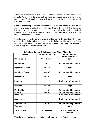If your child becomes ill or has an accident at school, we will contact the parents. As a result, it's important we have an emergency phone number to contact you. Additionally, parents will have to complete a medical form and information annually.

Children displaying symptoms of illness should be kept home. It's unwise to send them back to school too early after they've been ill. If the illness is infectious, you should contact the school. If your child is receiving medical treatment which is likely to have an impact on their performance, you should contact the school to inform us.

If medicine needs to be administered to a child during the day, the school has a policy for administering medicine, and by following this policy, staff can administer medicine **provided the parents have completed the relevant medical approval form beforehand.**

| <b>Illness</b>           | <b>Period of Infection</b> | <b>Recommended</b><br><b>Exclusion Period</b> |
|--------------------------|----------------------------|-----------------------------------------------|
| Chicken pox              | $11 - 21$ days             | 6 days                                        |
| <b>Diphtheria</b>        | $2 - 5$                    | As permitted by doctor                        |
| <b>Measles (Rubella)</b> | $14 - 21$                  | 7 days                                        |
| <b>Glandular Fever</b>   | $33 - 49$                  | As permitted by doctor                        |
| <b>Hepatitis A</b>       | $15 - 50$                  | 7 days                                        |
| Impetigo                 |                            | Until start of treatment                      |
| <b>Measles</b>           | $10 - 15$                  | 7 days                                        |
| <b>Meningitis</b>        | $2 - 10$                   | As permitted by doctor                        |
| <b>Mumps</b>             | $12 - 21$                  | As permitted by doctor                        |
| <b>Head Lice</b>         |                            | <b>Until start of treatment</b>               |
| <b>Scabies</b>           |                            | Until start of treatment                      |
| <b>Scarlet Fever</b>     | $2 - 5$                    | As permitted by doctor                        |
| <b>Shingles</b>          |                            | 7 days                                        |
| <b>Tuberculosis</b>      | 4 - 6 weeks                | Until statement of no<br>infection            |

**Infectious Illness, Skin Disease and Minor Ailments** 

The above information is updated regularly and available from the school.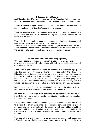# **Education Social Worker**

An Education Social Worker is employed by the Education Authority and they act as a contact between the school, home, child and the Education Authority.

They will provide support, explanation or advice on various issues that can impact on absences or the child's enjoyment at school.

The Education Social Worker regularly visits the school to monitor attendance and identify any patterns of absence or regular absences, contact will be made with the home.

They will discuss matters such as lateness, unauthorised absences and reasons for authorised absences with the Headteacher.

They will also discuss attendance improvement targets with the Headteacher. The Education Social Worker will listen to any concerns the school has about

the wellbeing of a pupil or pupils and will visit the home if required.

## **Educational Visits and the Charging Policy**

On many occasions during the academic year, educational visits will be arranged and educational performances will visit the school to educate and entertain the children.

Such visits or performances will often be relevant to a particular age group with the aim of reinforcing a theme or subject within the classroom. Educational visits broaden the curriculum and give meaning and purpose to their studies and in so doing stimulates their interests and sparks their imagination. Educational visits assist in encouraging and developing social skills and builds self-respect amongst individuals. We believe they make a valuable contribution to the promotion of lifelong learning amongst our pupils.

Due to the number of pupils, the school can't pay for the educational visits, we will therefore ask the parents to make a voluntary contribution.

No child will be prevented from attending an educational visit due to the inability to pay. However, the voluntary contribution must be sufficient to allow the visit to take place.

It's important to note that Government legislation states that a visit should not take place if all children are unable to go because some are unable to pay. If any parent is having difficulty with the cost of a visit, the problem should be discussed with the Headteacher. Any residential visits can be paid for in instalments and similar arrangements can be made in other circumstances if required.

The cost of any visit includes travel, transport, admission and insurance. Information on any visit is sent to parents and permission forms will have to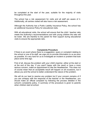be completed at the start of the year, suitable for the majority of visits throughout the year.

The school has a risk assessment for visits and all staff are aware of it. Additionally, all centres visited will also have a risk assessment.

Although the Authority has a Public Liability Insurance Policy, the school has an additional Insurance Policy for educational visits.

With all educational visits, the school will ensure that the child / teacher ratio meets the Authority's recommendations and with young children the ratio will be lower. We are thankful to the parent for their support during educational visits to ensure the appropriate ratio.

## **Complaints Procedure**

If there is an event where there is a suggestion, query or complaint relating to the school or one of its staff, we urge you to provide information to us as soon as possible. It's very hard for us to investigate an incident or problem that took place some time ago.

First of all, discuss the problem with your child's teacher, either at the start or at the end of the day. If you aren't happy with the result or have a more serious concern, make an appointment to see the Headteacher. This does not of course mean that an acceptable result will happen on all occasions, but it allows you and the school to better understand the nature of the problem.

We will do our best to resolve any problem but if your concern remains of if you are unhappy with the response of the teacher or the Headteacher, you should make an official complaint by following the process detailed in the school's complaints policy. A summary of the procedure is given to parents when children start at school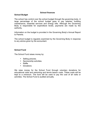# **School finances**

# **School Budget**

The school has control over the school budget through the governing body. A large percentage of the school budget goes to pay salaries, building maintenance, essential services and energy bills. Although the Governing Body is responsible for expenditure levels, payments are made by the authority.

Information on the budget is provided in the Governing Body's Annual Report to Parents.

The school budget is regularly examined by the Governing Body in response to any advice given by the accountant.

# **School Fund**

The School Fund raises money by:

- Selling pictures.
- Sponsorship activities.
- Raffle
- Donations

We raise money for the School Fund through voluntary donations for educational visits and swimming and tennis lesson costs. These costs will be kept to a minimum. The fund will be used to pay the cost of all visits or activities. The School Fund is audited annually.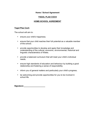# **Home / School Agreement**

# **YSGOL PLAS COCH**

# **HOME-SCHOOL AGREEMENT**

# **Ysgol Plas Coch**

The school will aim to:

- ensure your child's happiness;
- ensure that your child reaches their full potential as a valuable member of the school;
- provide opportunities to develop and apply their knowledge and understanding of the cultural, economic, environmental, historical and linguistic characteristics of Wales.
- provide a balanced curriculum that will meet your child's individual needs;
- ensure high standards of education and behaviour by building a good relationship and fostering a sense of responsibility;
- inform you of general matters and particularly your child's progress;
- be welcoming and provide opportunities for you to be involved in school life.

**Signature:\_\_\_\_\_\_\_\_\_\_\_\_\_\_\_\_\_\_\_\_**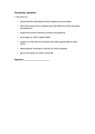# **The parents / guardians**

I / We will try to:

- ensure that the child attends school regularly and punctually;
- inform the school of any problems that may affect the child's education and behaviour;
- support the school's behaviour policies and guidance;
- encourage my child to speak Welsh;
- support my child with his homework and other opportunities to learn home;
- attend parents' evenings to discuss my child's progress;
- get to know about my child's school life.

**Signature:\_\_\_\_\_\_\_\_\_\_\_\_\_\_\_\_\_\_\_\_\_\_\_\_**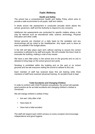# **Pupils' Wellbeing**

#### **Health and Safety**

The school has a comprehensive Health and Safety Policy which aims to provide a safe environment to all pupils, staff and visitors.

A whole school risk assessment is conducted annually which allows the school, governors, staff and the Authority to respond to any concerns.

Additional risk assessments are conducted for specific matters where a risk may be relevant such as educational visits, science, technology, Physical Education and other crafts.

School grounds are checked on a daily basis by the caretaker and any shortcomings will be noted to the Headteacher. Any repair work is done as soon as possible if the budget allows.

A fire drill will take place each term without warning to ensure the correct procedure is adhered to by staff and pupils. We will consider the time it took to evacuate the building, making a note of any issues.

We have a zero litter policy in the school and on the grounds and no one is allowed to bring dogs on the school ground and yards.

Smoking is prohibited within the building and on the yard or on school grounds and we ask everyone visiting the school to adhere to this rule.

Each member of staff has received basic first aid training while three members of staff have received advanced training. An accident book is kept.

# **Toilet Accidents and Changing Children**

In order to conform with Child Protection procedures, the school will operate good practice as far as toilet accidents and changing children's clothes is concerned.

We will change children's clothes if they:

- Are wet / dirty after a fall.
- Have been ill
- Have had a toilet accident

The staff will respect each child's privacy on every occasion and encourage independence and good hygiene.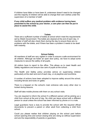If children have fallen or have been ill, underwear doesn't need to be changed and the majority of children will be able to change their own clothes under the supervision of a member of staff.

**If any child suffers any medical problem with evidence having been presented to the school by your doctor, a care plan can then be put in place to assist the child.**

#### **Toilets**

There are a sufficient number of toilets at school which meet the requirements set by Welsh Government. The toilets are cleaned at the end of each day. A member of staff will also check them during the day to ensure there are no problems with the toilets, and if there has been a problem it needs to be dealt with instantly.

#### **School Safety**

All members of staff are very vigilant in order to ensure a safe environment for all children. Although we foster an open door policy, we have to adopt some measures to secure the safety of all pupils.

All visitors have to report to the office. This allows us to meet Health and Safety regulations and ensure due care of pupils at the school.

The Health and Safety policy provides advice on supervising children particularly at the start and end of each day, or at playtime and lunchtime.

A number of actions have been adopted to improve safety around the school, including fences and locks on gates.

There is a keypad on the school's main entrance wile every other door is locked during lessons.

Staff will take mobile phones with them on any school visits.

You are required to inform the school if a different person will be picking up a child from school at the end of day. No child can leave school with a different person to usual unless the school has been informed by phone or in a note.

Legal guardians have a duty to provide the school with the required official documents to prevent a parent or other adult from collecting a child from school.

Could you please realise that children playing on the school yard before school opening time and school closing time are doing so without supervision and are the responsibility of parents or guardians.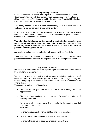# **Safeguarding Children**

Guidance from the Education and Employment Department and the Welsh Government states clearly that schools have an important role in protecting children from abuse. This is confirmed by the Wrexham Area Child Protection Policy which outlines the system for staff to follow.

As a caring school we have a direct responsibility for our children and their wellbeing will be our concern. **Every child matters.**

In accordance with the act, it's essential that every school has a Child Protection Coordinator. At Plas Coch, the Headteacher is joint Coordinator with the ALN / Behaviour Coordinator

**There is a legal obligation on the school to contact other agencies (e.g. Social Services) when there are any child protection concerns. The Governing Body is required to ensure there is a system in place to protect children against abuse.**

Any matters relating to child protection will be dealt with confidentially.

Any referral, notes or recorded observations made in relation to sensitive child protection issues are free from the requirements of the data protection act.

# **Equal Opportunities**

We believe all individuals have the right to equal opportunities and to be free from any form of discrimination.

We recognize the equality rights of all individuals including pupils and staff whatever their sex, race, culture, gender, ability, disability, age or religious beliefs. This policy is an essential part of the school's life. It is reflected in all other policies.

These are the main aims of the policy:

- That one of the governors is nominated to be in charge of equal opportunities.
- That one of the teachers (working as part of a team) is in charge of equal opportunities.
- To ensure all children have the opportunity to receive the full curriculum including the basic skills.
- To ensure grouping of different abilities and sex in the class.
- To ensure that the schoolyard is available to all children.
- To ensure that sexuality does not impact on any activity.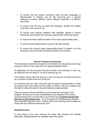- To ensure that the hidden curriculum does not give messages of discrimination to children, e.g. do the resources give a positive reflection of women, different culture, different capability or a different way of life.
- To ensure that the way we deal with discipline, namely the Golden Time Plan is the same for all.
- To ensure each teacher whatever their disability, gender or sexual tendencies are provided the same job opportunities within the school.
- To ensure all school staff are aware of the equal opportunities policy.
- To ensure equal opportunities is a part of all other policies.
- To ensure the school's equal opportunities ethos is passed on to the secondary school through discussion between both schools.

# **School Transport and Access**

The Authority provides free transport to all children of compulsorily school age living two miles or more away from the nearest suitable school.

An application for free transport should be made to the Authority. A form can be obtained from the office or via www.wrexham.gov.uk

The children will be met from the bus in the morning and escorted to the bus by a member of staff at the end of the day.

It's important that any child using this service behaves appropriately in order to promote their own safety and the safety of others. The bus company has the right to refuse transport to anyone behaving inappropriately.

There is access to those travelling by car through the main gate or the footpath. We ask you to drive considerately as you approach the school. During school hours or at the start or end of the day **no parent should park their car on the school yard.** On all occasions the parking place opposite the school field should be used. Please refrain from parking near the gates as buses will have difficulty entering the yard.

# **Disabled Access**

A ramp leads to the main entrance for those with physical and mobility difficulties. Disabled toilets are available within the school.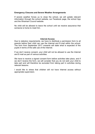# **Emergency Closures and Severe Weather Arrangements**

If severe weather forces us to close the school, we will update relevant information through the school website, our Facebook page, the school App and the Wrexham Council website.

No child will be allowed to leave the school until we receive assurance that someone is home to meet him.

#### **Internet Access**

Due to statutory requirements, we have to distribute a permission form to all parents before their child can use the Internet and E-mail within the school. The form from September 2017 onwards will state what is expected of the pupils in terms of the safe use of the Internet.

If we don't receive consent, your child will not be allowed to use the Internet and E-mail as part of various activities.

We have to receive a signed consent form before activities take place, and if we don't receive the form, we will consider that you do not wish your child to take part and will therefore be excluded from taking part in activities during relevant lessons.

I would like to stress that children will not have Internet access without appropriate supervision.